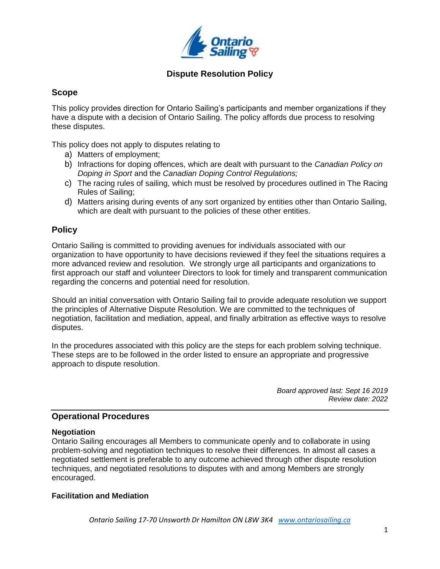

## **Scope**

This policy provides direction for Ontario Sailing's participants and member organizations if they have a dispute with a decision of Ontario Sailing. The policy affords due process to resolving these disputes.

This policy does not apply to disputes relating to

- a) Matters of employment;
- b) Infractions for doping offences, which are dealt with pursuant to the *Canadian Policy on Doping in Sport* and the *Canadian Doping Control Regulations;*
- c) The racing rules of sailing, which must be resolved by procedures outlined in The Racing Rules of Sailing;
- d) Matters arising during events of any sort organized by entities other than Ontario Sailing, which are dealt with pursuant to the policies of these other entities.

## **Policy**

Ontario Sailing is committed to providing avenues for individuals associated with our organization to have opportunity to have decisions reviewed if they feel the situations requires a more advanced review and resolution. We strongly urge all participants and organizations to first approach our staff and volunteer Directors to look for timely and transparent communication regarding the concerns and potential need for resolution.

Should an initial conversation with Ontario Sailing fail to provide adequate resolution we support the principles of Alternative Dispute Resolution. We are committed to the techniques of negotiation, facilitation and mediation, appeal, and finally arbitration as effective ways to resolve disputes.

In the procedures associated with this policy are the steps for each problem solving technique. These steps are to be followed in the order listed to ensure an appropriate and progressive approach to dispute resolution.

> *Board approved last: Sept 16 2019 Review date: 2022*

## **Operational Procedures**

### **Negotiation**

Ontario Sailing encourages all Members to communicate openly and to collaborate in using problem-solving and negotiation techniques to resolve their differences. In almost all cases a negotiated settlement is preferable to any outcome achieved through other dispute resolution techniques, and negotiated resolutions to disputes with and among Members are strongly encouraged.

### **Facilitation and Mediation**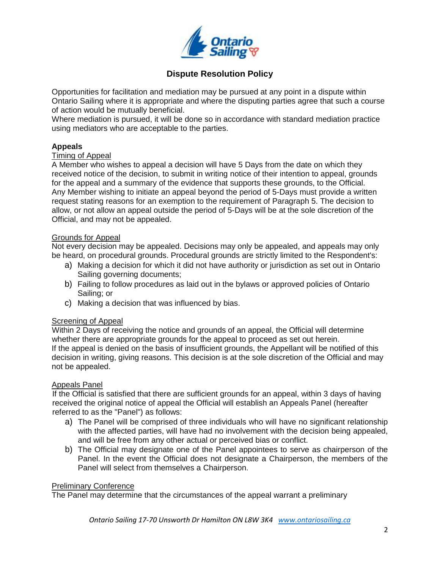

Opportunities for facilitation and mediation may be pursued at any point in a dispute within Ontario Sailing where it is appropriate and where the disputing parties agree that such a course of action would be mutually beneficial.

Where mediation is pursued, it will be done so in accordance with standard mediation practice using mediators who are acceptable to the parties.

### **Appeals**

#### Timing of Appeal

A Member who wishes to appeal a decision will have 5 Days from the date on which they received notice of the decision, to submit in writing notice of their intention to appeal, grounds for the appeal and a summary of the evidence that supports these grounds, to the Official. Any Member wishing to initiate an appeal beyond the period of 5-Days must provide a written request stating reasons for an exemption to the requirement of Paragraph 5. The decision to allow, or not allow an appeal outside the period of 5-Days will be at the sole discretion of the Official, and may not be appealed.

### Grounds for Appeal

Not every decision may be appealed. Decisions may only be appealed, and appeals may only be heard, on procedural grounds. Procedural grounds are strictly limited to the Respondent's:

- a) Making a decision for which it did not have authority or jurisdiction as set out in Ontario Sailing governing documents;
- b) Failing to follow procedures as laid out in the bylaws or approved policies of Ontario Sailing; or
- c) Making a decision that was influenced by bias.

#### Screening of Appeal

Within 2 Days of receiving the notice and grounds of an appeal, the Official will determine whether there are appropriate grounds for the appeal to proceed as set out herein. If the appeal is denied on the basis of insufficient grounds, the Appellant will be notified of this decision in writing, giving reasons. This decision is at the sole discretion of the Official and may not be appealed.

#### Appeals Panel

If the Official is satisfied that there are sufficient grounds for an appeal, within 3 days of having received the original notice of appeal the Official will establish an Appeals Panel (hereafter referred to as the "Panel") as follows:

- a) The Panel will be comprised of three individuals who will have no significant relationship with the affected parties, will have had no involvement with the decision being appealed, and will be free from any other actual or perceived bias or conflict.
- b) The Official may designate one of the Panel appointees to serve as chairperson of the Panel. In the event the Official does not designate a Chairperson, the members of the Panel will select from themselves a Chairperson.

#### Preliminary Conference

The Panel may determine that the circumstances of the appeal warrant a preliminary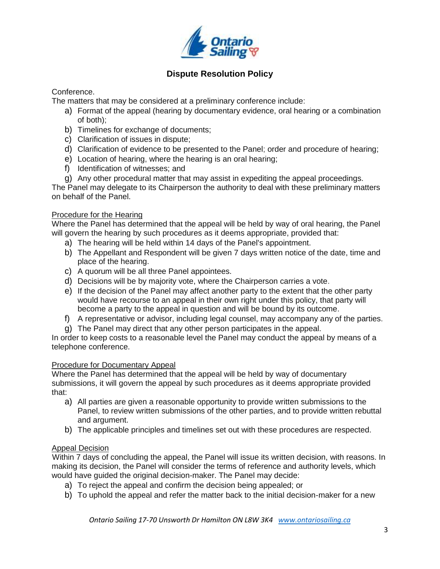

Conference.

The matters that may be considered at a preliminary conference include:

- a) Format of the appeal (hearing by documentary evidence, oral hearing or a combination of both);
- b) Timelines for exchange of documents;
- c) Clarification of issues in dispute;
- d) Clarification of evidence to be presented to the Panel; order and procedure of hearing;
- e) Location of hearing, where the hearing is an oral hearing;
- f) Identification of witnesses; and

g) Any other procedural matter that may assist in expediting the appeal proceedings. The Panel may delegate to its Chairperson the authority to deal with these preliminary matters on behalf of the Panel.

## Procedure for the Hearing

Where the Panel has determined that the appeal will be held by way of oral hearing, the Panel will govern the hearing by such procedures as it deems appropriate, provided that:

- a) The hearing will be held within 14 days of the Panel's appointment.
- b) The Appellant and Respondent will be given 7 days written notice of the date, time and place of the hearing.
- c) A quorum will be all three Panel appointees.
- d) Decisions will be by majority vote, where the Chairperson carries a vote.
- e) If the decision of the Panel may affect another party to the extent that the other party would have recourse to an appeal in their own right under this policy, that party will become a party to the appeal in question and will be bound by its outcome.
- f) A representative or advisor, including legal counsel, may accompany any of the parties.
- g) The Panel may direct that any other person participates in the appeal.

In order to keep costs to a reasonable level the Panel may conduct the appeal by means of a telephone conference.

## Procedure for Documentary Appeal

Where the Panel has determined that the appeal will be held by way of documentary submissions, it will govern the appeal by such procedures as it deems appropriate provided that:

- a) All parties are given a reasonable opportunity to provide written submissions to the Panel, to review written submissions of the other parties, and to provide written rebuttal and argument.
- b) The applicable principles and timelines set out with these procedures are respected.

## Appeal Decision

Within 7 days of concluding the appeal, the Panel will issue its written decision, with reasons. In making its decision, the Panel will consider the terms of reference and authority levels, which would have guided the original decision-maker. The Panel may decide:

- a) To reject the appeal and confirm the decision being appealed; or
- b) To uphold the appeal and refer the matter back to the initial decision-maker for a new